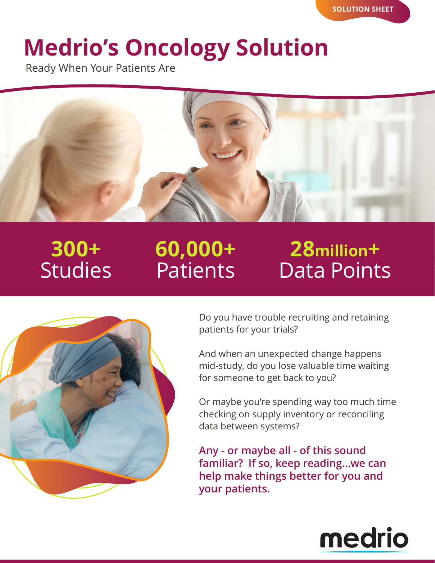# **Medrio's Oncology Solution**

Ready When Your Patients Are



## **300+** Studies

## **60,000+** Patients

### **28million+** Data Points



Do you have trouble recruiting and retaining patients for your trials?

And when an unexpected change happens mid-study, do you lose valuable time waiting for someone to get back to you?

Or maybe you're spending way too much time checking on supply inventory or reconciling data between systems?

**Any - or maybe all - of this sound familiar? If so, keep reading...we can help make things better for you and your patients.**